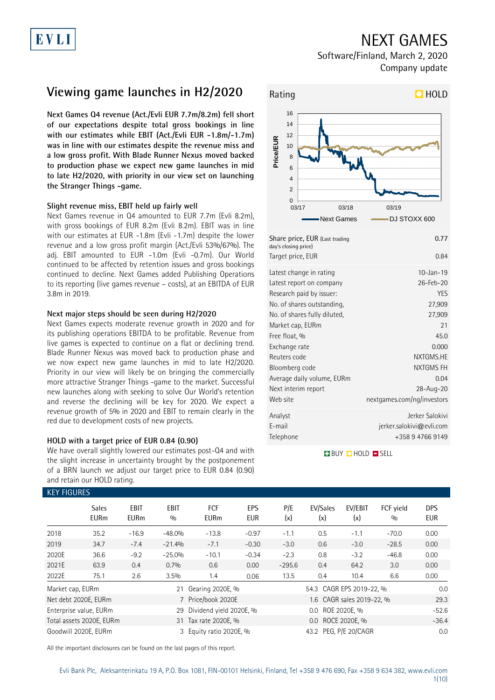## NEXT GAMES

Software/Finland, March 2, 2020 Company update

# **Viewing game launches in H2/2020**

**Next Games Q4 revenue (Act./Evli EUR 7.7m/8.2m) fell short of our expectations despite total gross bookings in line with our estimates while EBIT (Act./Evli EUR -1.8m/-1.7m) was in line with our estimates despite the revenue miss and a low gross profit. With Blade Runner Nexus moved backed to production phase we expect new game launches in mid to late H2/2020, with priority in our view set on launching the Stranger Things -game.** 

### **Slight revenue miss, EBIT held up fairly well**

Next Games revenue in Q4 amounted to EUR 7.7m (Evli 8.2m), with gross bookings of EUR 8.2m (Evli 8.2m). EBIT was in line with our estimates at EUR -1.8m (Evli -1.7m) despite the lower revenue and a low gross profit margin (Act./Evli 53%/67%). The adj. EBIT amounted to EUR -1.0m (Evli -0.7m). Our World continued to be affected by retention issues and gross bookings continued to decline. Next Games added Publishing Operations to its reporting (live games revenue – costs), at an EBITDA of EUR 3.8m in 2019.

### **Next major steps should be seen during H2/2020**

Next Games expects moderate revenue growth in 2020 and for its publishing operations EBITDA to be profitable. Revenue from live games is expected to continue on a flat or declining trend. Blade Runner Nexus was moved back to production phase and we now expect new game launches in mid to late H2/2020. Priority in our view will likely be on bringing the commercially more attractive Stranger Things -game to the market. Successful new launches along with seeking to solve Our World's retention and reverse the declining will be key for 2020. We expect a revenue growth of 5% in 2020 and EBIT to remain clearly in the red due to development costs of new projects.

### **HOLD with a target price of EUR 0.84 (0.90)**

We have overall slightly lowered our estimates post-Q4 and with the slight increase in uncertainty brought by the postponement of a BRN launch we adjust our target price to EUR 0.84 (0.90) and retain our HOLD rating.



Telephone +358 9 4766 9149 **BUY QHOLD SELL** 

Reuters code NXTGMS.HE Bloomberg code NXTGMS FH Average daily volume, EURm 0.04 Next interim report 28-Aug-20 Web site nextgames.com/ng/investors Analyst Jerker Salokivi E-mail jerker.salokivi@evli.com

| <b>KEY FIGURES</b> |                             |                     |                    |                         |                   |                           |                          |                |                  |                          |
|--------------------|-----------------------------|---------------------|--------------------|-------------------------|-------------------|---------------------------|--------------------------|----------------|------------------|--------------------------|
|                    | <b>Sales</b><br><b>EURm</b> | EBIT<br><b>EURm</b> | <b>EBIT</b><br>0/0 | FCF<br><b>EURm</b>      | EPS<br><b>EUR</b> | P/E<br>(x)                | EV/Sales<br>(x)          | EV/EBIT<br>(x) | FCF yield<br>0/0 | <b>DPS</b><br><b>EUR</b> |
| 2018               | 35.2                        | $-16.9$             | $-48.0%$           | $-13.8$                 | $-0.97$           | $-1.1$                    | 0.5                      | $-1.1$         | $-70.0$          | 0.00                     |
| 2019               | 34.7                        | $-7.4$              | $-21.4%$           | $-7.1$                  | $-0.30$           | $-3.0$                    | 0.6                      | $-3.0$         | $-28.5$          | 0.00                     |
| 2020E              | 36.6                        | $-9.2$              | $-25.0%$           | $-10.1$                 | $-0.34$           | $-2.3$                    | 0.8                      | $-3.2$         | $-46.8$          | 0.00                     |
| 2021E              | 63.9                        | 0.4                 | 0.7%               | 0.6                     | 0.00              | $-295.6$                  | 0.4                      | 64.2           | 3.0              | 0.00                     |
| 2022E              | 75.1                        | 2.6                 | 3.5%               | 1.4                     | 0.06              | 13.5                      | 0.4                      | 10.4           | 6.6              | 0.00                     |
| Market cap, EURm   |                             |                     | 21                 | Gearing 2020E, %        |                   |                           | 54.3 CAGR EPS 2019-22, % | 0.0            |                  |                          |
|                    | Net debt 2020E, EURm        |                     |                    | Price/book 2020E        |                   | 1.6 CAGR sales 2019-22, % |                          |                |                  | 29.3                     |
|                    | Enterprise value, EURm      |                     | 29                 | Dividend yield 2020E, % |                   | ROE 2020E. %<br>$0.0\,$   |                          |                |                  | $-52.6$                  |
|                    | Total assets 2020E, EURm    |                     |                    | 31 Tax rate 2020E, %    |                   | ROCE 2020E, %<br>$0.0\,$  |                          |                |                  | $-36.4$                  |
|                    | Goodwill 2020E, EURm        |                     |                    | 3 Equity ratio 2020E, % |                   | 43.2 PEG, P/E 20/CAGR     |                          |                |                  | 0.0                      |

All the important disclosures can be found on the last pages of this report.

Evli Bank Plc, Aleksanterinkatu 19 A, P.O. Box 1081, FIN-00101 Helsinki, Finland, Tel +358 9 476 690, Fax +358 9 634 382, [www.evli.com](http://www.evli.com/)

### 1(10)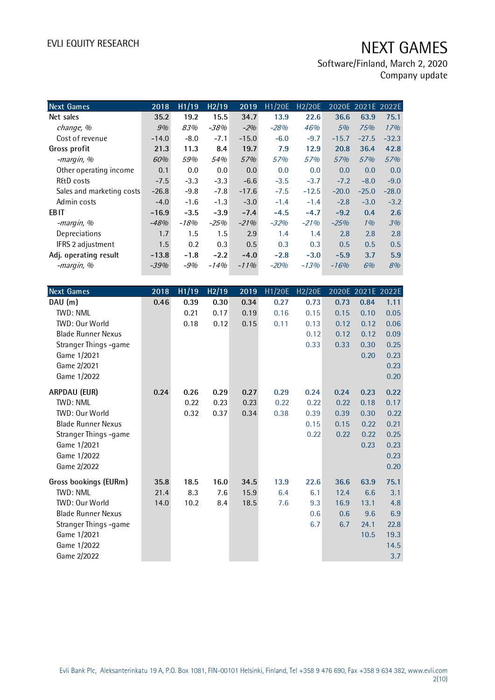| <b>Next Games</b>         | 2018    | H1/19  | H2/19  | 2019    | H1/20E | H <sub>2</sub> /20E |         | 2020E 2021E 2022E |         |
|---------------------------|---------|--------|--------|---------|--------|---------------------|---------|-------------------|---------|
| Net sales                 | 35.2    | 19.2   | 15.5   | 34.7    | 13.9   | 22.6                | 36.6    | 63.9              | 75.1    |
| change, %                 | 9%      | 83%    | $-38%$ | $-2%$   | $-28%$ | 46%                 | 5%      | 75%               | 17%     |
| Cost of revenue           | $-14.0$ | $-8.0$ | $-7.1$ | $-15.0$ | $-6.0$ | $-9.7$              | $-15.7$ | $-27.5$           | $-32.3$ |
| Gross profit              | 21.3    | 11.3   | 8.4    | 19.7    | 7.9    | 12.9                | 20.8    | 36.4              | 42.8    |
| -margin, %                | 60%     | 59%    | 54%    | 57%     | 57%    | 57%                 | 57%     | 57%               | 57%     |
| Other operating income    | 0.1     | 0.0    | 0.0    | 0.0     | 0.0    | 0.0                 | 0.0     | 0.0               | 0.0     |
| <b>R&amp;D</b> costs      | $-7.5$  | $-3.3$ | $-3.3$ | $-6.6$  | $-3.5$ | $-3.7$              | $-7.2$  | $-8.0$            | $-9.0$  |
| Sales and marketing costs | $-26.8$ | $-9.8$ | $-7.8$ | $-17.6$ | $-7.5$ | $-12.5$             | $-20.0$ | $-25.0$           | $-28.0$ |
| Admin costs               | $-4.0$  | $-1.6$ | $-1.3$ | $-3.0$  | $-1.4$ | $-1.4$              | $-2.8$  | $-3.0$            | $-3.2$  |
| <b>EBIT</b>               | $-16.9$ | $-3.5$ | $-3.9$ | $-7.4$  | $-4.5$ | $-4.7$              | $-9.2$  | 0.4               | 2.6     |
| -margin, %                | $-48%$  | $-18%$ | $-25%$ | $-21%$  | $-32%$ | $-21%$              | $-25%$  | 1%                | 3%      |
| Depreciations             | 1.7     | 1.5    | 1.5    | 2.9     | 1.4    | 1.4                 | 2.8     | 2.8               | 2.8     |
| IFRS 2 adjustment         | 1.5     | 0.2    | 0.3    | 0.5     | 0.3    | 0.3                 | 0.5     | 0.5               | 0.5     |
| Adj. operating result     | $-13.8$ | $-1.8$ | $-2.2$ | $-4.0$  | $-2.8$ | $-3.0$              | $-5.9$  | 3.7               | 5.9     |
| -margin, %                | -39%    | $-9%$  | $-14%$ | $-11%$  | $-20%$ | $-13%$              | $-16%$  | 6%                | 8%      |

| <b>Next Games</b>         | 2018 | H1/19 | H <sub>2</sub> /19 | 2019 | H1/20E | <b>H2/20E</b> |      |      | 2020E 2021E 2022E |
|---------------------------|------|-------|--------------------|------|--------|---------------|------|------|-------------------|
| DAU (m)                   | 0.46 | 0.39  | 0.30               | 0.34 | 0.27   | 0.73          | 0.73 | 0.84 | 1.11              |
| <b>TWD: NML</b>           |      | 0.21  | 0.17               | 0.19 | 0.16   | 0.15          | 0.15 | 0.10 | 0.05              |
| TWD: Our World            |      | 0.18  | 0.12               | 0.15 | 0.11   | 0.13          | 0.12 | 0.12 | 0.06              |
| <b>Blade Runner Nexus</b> |      |       |                    |      |        | 0.12          | 0.12 | 0.12 | 0.09              |
| Stranger Things -game     |      |       |                    |      |        | 0.33          | 0.33 | 0.30 | 0.25              |
| Game 1/2021               |      |       |                    |      |        |               |      | 0.20 | 0.23              |
| Game 2/2021               |      |       |                    |      |        |               |      |      | 0.23              |
| Game 1/2022               |      |       |                    |      |        |               |      |      | 0.20              |
| ARPDAU (EUR)              | 0.24 | 0.26  | 0.29               | 0.27 | 0.29   | 0.24          | 0.24 | 0.23 | 0.22              |
| TWD: NML                  |      | 0.22  | 0.23               | 0.23 | 0.22   | 0.22          | 0.22 | 0.18 | 0.17              |
| <b>TWD: Our World</b>     |      | 0.32  | 0.37               | 0.34 | 0.38   | 0.39          | 0.39 | 0.30 | 0.22              |
| <b>Blade Runner Nexus</b> |      |       |                    |      |        | 0.15          | 0.15 | 0.22 | 0.21              |
| Stranger Things -game     |      |       |                    |      |        | 0.22          | 0.22 | 0.22 | 0.25              |
| Game 1/2021               |      |       |                    |      |        |               |      | 0.23 | 0.23              |
| Game 1/2022               |      |       |                    |      |        |               |      |      | 0.23              |
| Game 2/2022               |      |       |                    |      |        |               |      |      | 0.20              |
| Gross bookings (EURm)     | 35.8 | 18.5  | 16.0               | 34.5 | 13.9   | 22.6          | 36.6 | 63.9 | 75.1              |
| <b>TWD: NML</b>           | 21.4 | 8.3   | 7.6                | 15.9 | 6.4    | 6.1           | 12.4 | 6.6  | 3.1               |
| TWD: Our World            | 14.0 | 10.2  | 8.4                | 18.5 | 7.6    | 9.3           | 16.9 | 13.1 | 4.8               |
| <b>Blade Runner Nexus</b> |      |       |                    |      |        | 0.6           | 0.6  | 9.6  | 6.9               |
| Stranger Things -game     |      |       |                    |      |        | 6.7           | 6.7  | 24.1 | 22.8              |
| Game 1/2021               |      |       |                    |      |        |               |      | 10.5 | 19.3              |
| Game 1/2022               |      |       |                    |      |        |               |      |      | 14.5              |
| Game 2/2022               |      |       |                    |      |        |               |      |      | 3.7               |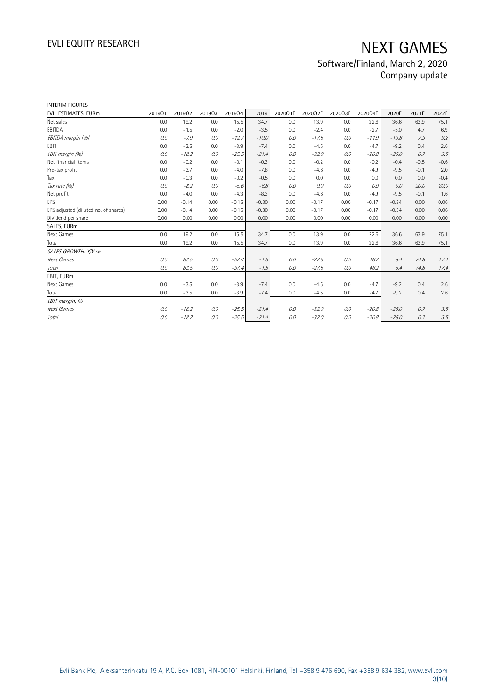| <b>INTERIM FIGURES</b>               |        |         |        |         |         |         |         |         |         |         |        |        |
|--------------------------------------|--------|---------|--------|---------|---------|---------|---------|---------|---------|---------|--------|--------|
| EVLI ESTIMATES, EURm                 | 201901 | 201902  | 201903 | 201904  | 2019    | 2020Q1E | 2020Q2E | 2020Q3E | 2020Q4E | 2020E   | 2021E  | 2022E  |
| Net sales                            | 0.0    | 19.2    | 0.0    | 15.5    | 34.7    | 0.0     | 13.9    | 0.0     | 22.6    | 36.6    | 63.9   | 75.1   |
| EBITDA                               | 0.0    | $-1.5$  | 0.0    | $-2.0$  | $-3.5$  | 0.0     | $-2.4$  | 0.0     | $-2.7$  | $-5.0$  | 4.7    | 6.9    |
| EBITDA margin (%)                    | 0.0    | $-7.9$  | 0.0    | $-12.7$ | $-10.0$ | 0.0     | $-17.5$ | 0.0     | $-11.9$ | $-13.8$ | 7.3    | 9.2    |
| EBIT                                 | 0.0    | $-3.5$  | 0.0    | $-3.9$  | $-7.4$  | 0.0     | $-4.5$  | 0.0     | $-4.7$  | $-9.2$  | 0.4    | 2.6    |
| EBIT margin (%)                      | 0.0    | $-18.2$ | 0.0    | $-25.5$ | $-21.4$ | 0.0     | $-32.0$ | 0.0     | $-20.8$ | $-25.0$ | 0.7    | 3.5    |
| Net financial items                  | 0.0    | $-0.2$  | 0.0    | $-0.1$  | $-0.3$  | 0.0     | $-0.2$  | 0.0     | $-0.2$  | $-0.4$  | $-0.5$ | $-0.6$ |
| Pre-tax profit                       | 0.0    | $-3.7$  | 0.0    | $-4.0$  | $-7.8$  | 0.0     | $-4.6$  | 0.0     | $-4.9$  | $-9.5$  | $-0.1$ | 2.0    |
| Tax                                  | 0.0    | $-0.3$  | 0.0    | $-0.2$  | $-0.5$  | 0.0     | 0.0     | 0.0     | 0.0     | 0.0     | 0.0    | $-0.4$ |
| Tax rate (%)                         | 0.0    | $-8.2$  | 0.0    | $-5.6$  | $-6.8$  | 0.0     | 0.0     | 0.0     | 0.0     | 0.0     | 20.0   | 20.0   |
| Net profit                           | 0.0    | $-4.0$  | 0.0    | $-4.3$  | $-8.3$  | 0.0     | $-4.6$  | 0.0     | $-4.9$  | $-9.5$  | $-0.1$ | 1.6    |
| EPS                                  | 0.00   | $-0.14$ | 0.00   | $-0.15$ | $-0.30$ | 0.00    | $-0.17$ | 0.00    | $-0.17$ | $-0.34$ | 0.00   | 0.06   |
| EPS adjusted (diluted no. of shares) | 0.00   | $-0.14$ | 0.00   | $-0.15$ | $-0.30$ | 0.00    | $-0.17$ | 0.00    | $-0.17$ | $-0.34$ | 0.00   | 0.06   |
| Dividend per share                   | 0.00   | 0.00    | 0.00   | 0.00    | 0.00    | 0.00    | 0.00    | 0.00    | 0.00    | 0.00    | 0.00   | 0.00   |
| SALES, EURm                          |        |         |        |         |         |         |         |         |         |         |        |        |
| Next Games                           | 0.0    | 19.2    | 0.0    | 15.5    | 34.7    | 0.0     | 13.9    | 0.0     | 22.6    | 36.6    | 63.9   | 75.1   |
| Total                                | 0.0    | 19.2    | 0.0    | 15.5    | 34.7    | 0.0     | 13.9    | 0.0     | 22.6    | 36.6    | 63.9   | 75.1   |
| SALES GROWTH, Y/Y %                  |        |         |        |         |         |         |         |         |         |         |        |        |
| Next Games                           | 0.0    | 83.5    | 0.0    | $-37.4$ | $-1.5$  | 0.0     | $-27.5$ | 0.0     | 46.2    | 5.4     | 74.8   | 17.4   |
| <b>Total</b>                         | 0.0    | 83.5    | 0.0    | $-37.4$ | $-1.5$  | 0.0     | $-27.5$ | 0.0     | 46.2    | 5.4     | 74.8   | 17.4   |
| EBIT, EURm                           |        |         |        |         |         |         |         |         |         |         |        |        |
| Next Games                           | 0.0    | $-3.5$  | 0.0    | $-3.9$  | $-7.4$  | 0.0     | $-4.5$  | 0.0     | $-4.7$  | $-9.2$  | 0.4    | 2.6    |
| Total                                | 0.0    | $-3.5$  | 0.0    | $-3.9$  | $-7.4$  | 0.0     | $-4.5$  | 0.0     | $-4.7$  | $-9.2$  | 0.4    | 2.6    |
| EBIT margin, %                       |        |         |        |         |         |         |         |         |         |         |        |        |
| Next Games                           | 0.0    | $-18.2$ | 0.0    | $-25.5$ | $-21.4$ | 0.0     | $-32.0$ | 0.0     | $-20.8$ | $-25.0$ | 0.7    | 3.5    |
| Total                                | 0.0    | $-18.2$ | 0.0    | $-25.5$ | $-21.4$ | 0.0     | $-32.0$ | 0.0     | $-20.8$ | $-25.0$ | 0.7    | 3.5    |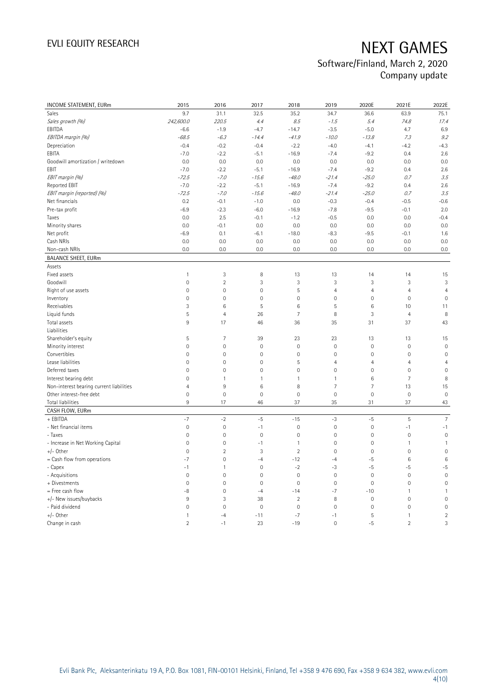| INCOME STATEMENT, EURm                   | 2015                | 2016                | 2017                | 2018                | 2019                | 2020E               | 2021E          | 2022E               |
|------------------------------------------|---------------------|---------------------|---------------------|---------------------|---------------------|---------------------|----------------|---------------------|
| Sales                                    | 9.7                 | 31.1                | 32.5                | 35.2                | 34.7                | 36.6                | 63.9           | 75.1                |
| Sales growth (%)                         | 242,600.0           | 220.5               | 4.4                 | 8.5                 | $-1.5$              | 5.4                 | 74.8           | 17.4                |
| EBITDA                                   | $-6.6$              | $-1.9$              | $-4.7$              | $-14.7$             | $-3.5$              | $-5.0$              | 4.7            | 6.9                 |
| EBITDA margin (%)                        | $-68.5$             | $-6.3$              | $-14.4$             | $-41.9$             | $-10.0$             | $-13.8$             | 7.3            | 9.2                 |
| Depreciation                             | $-0.4$              | $-0.2$              | $-0.4$              | $-2.2$              | $-4.0$              | $-4.1$              | $-4.2$         | $-4.3$              |
| EBITA                                    | $-7.0$              | $-2.2$              | $-5.1$              | $-16.9$             | $-7.4$              | $-9.2$              | 0.4            | 2.6                 |
| Goodwill amortization / writedown        | 0.0                 | 0.0                 | 0.0                 | 0.0                 | 0.0                 | 0.0                 | 0.0            | 0.0                 |
| EBIT                                     | $-7.0$              | $-2.2$              | $-5.1$              | $-16.9$             | $-7.4$              | $-9.2$              | 0.4            | 2.6                 |
| EBIT margin (%)                          | $-72.5$             | $-7.0$              | $-15.6$             | $-48.0$             | $-21.4$             | $-25.0$             | 0.7            | 3.5                 |
| <b>Reported EBIT</b>                     | $-7.0$              | $-2.2$              | $-5.1$              | $-16.9$             | $-7.4$              | $-9.2$              | 0.4            | 2.6                 |
| EBIT margin (reported) (%)               | $-72.5$             | $-7.0$              | $-15.6$             | $-48.0$             | $-21.4$             | $-25.0$             | 0.7            | 3.5                 |
| Net financials                           | 0.2                 | $-0.1$              | $-1.0$              | 0.0                 | $-0.3$              | $-0.4$              | $-0.5$         | $-0.6$              |
| Pre-tax profit                           | $-6.9$              | $-2.3$              | $-6.0$              | $-16.9$             | $-7.8$              | $-9.5$              | $-0.1$         | 2.0                 |
| Taxes                                    | 0.0                 | 2.5                 | $-0.1$              | $-1.2$              | $-0.5$              | 0.0                 | 0.0            | $-0.4$              |
| Minority shares                          | 0.0                 | $-0.1$              | 0.0                 | 0.0                 | 0.0                 | 0.0                 | 0.0            | 0.0                 |
| Net profit                               | $-6.9$              | 0.1                 | $-6.1$              | $-18.0$             | $-8.3$              | $-9.5$              | $-0.1$         | 1.6                 |
| Cash NRIs                                | 0.0                 | 0.0                 | 0.0                 | 0.0                 | 0.0                 | 0.0                 | 0.0            | 0.0                 |
| Non-cash NRIs                            | 0.0                 | 0.0                 | 0.0                 | 0.0                 | 0.0                 | 0.0                 | 0.0            | 0.0                 |
| <b>BALANCE SHEET, EURm</b>               |                     |                     |                     |                     |                     |                     |                |                     |
| Assets                                   |                     |                     |                     |                     |                     |                     |                |                     |
| Fixed assets                             | $\mathbf{1}$        | 3                   | 8                   | 13                  | 13                  | 14                  | 14             | 15                  |
| Goodwill                                 | $\mathsf{O}\xspace$ | $\overline{2}$      | 3                   | 3                   | 3                   | $\sqrt{3}$          | $\sqrt{3}$     | 3                   |
| Right of use assets                      | $\mathsf{O}\xspace$ | $\mathbf 0$         | $\overline{0}$      | 5                   | $\overline{4}$      | $\overline{4}$      | $\overline{4}$ | $\overline{4}$      |
| Inventory                                | $\overline{0}$      | $\mathbf 0$         | $\mathbf{0}$        | $\mathbf 0$         | $\mathbf 0$         | $\mathbf 0$         | $\mathbf 0$    | $\mathbf 0$         |
| Receivables                              | 3                   | $\,6\,$             | 5                   | 6                   | $\mathsf S$         | $\,6\,$             | 10             | 11                  |
| Liquid funds                             | 5                   | $\overline{4}$      | 26                  | $\overline{7}$      | 8                   | 3                   | $\overline{4}$ | 8                   |
| Total assets                             | $9\,$               | 17                  | 46                  | 36                  | 35                  | 31                  | 37             | 43                  |
| Liabilities                              |                     |                     |                     |                     |                     |                     |                |                     |
| Shareholder's equity                     | 5                   | $\overline{7}$      | 39                  | 23                  | 23                  | 13                  | 13             | 15                  |
| Minority interest                        | $\overline{0}$      | $\mathsf{O}\xspace$ | $\mathbf{0}$        | $\overline{0}$      | $\overline{0}$      | $\mathsf{O}\xspace$ | $\mathbf{0}$   | $\overline{0}$      |
| Convertibles                             | $\mathsf{O}\xspace$ | $\mathbf 0$         | $\mathbf 0$         | 0                   | $\mathbf 0$         | $\mathsf{O}\xspace$ | $\mathbf 0$    | $\mathsf{O}\xspace$ |
| Lease liabilities                        | 0                   | $\mathbf 0$         | $\mathbf 0$         | 5                   | $\overline{4}$      | $\overline{4}$      | $\overline{4}$ | $\overline{4}$      |
| Deferred taxes                           | $\mathsf{O}\xspace$ | $\mathbf 0$         | $\mathsf{O}\xspace$ | $\mathsf{O}\xspace$ | $\mathsf{O}\xspace$ | $\mathsf{O}\xspace$ | $\mathbf 0$    | $\mathbf 0$         |
| Interest bearing debt                    | $\overline{0}$      | $\mathbf{1}$        | $\mathbf{1}$        | $\mathbf{1}$        | $\overline{1}$      | $6\,$               | $\overline{7}$ | 8                   |
| Non-interest bearing current liabilities | $\overline{4}$      | $\mathsf g$         | 6                   | 8                   | $\overline{7}$      | $\overline{7}$      | 13             | 15                  |
| Other interest-free debt                 | $\mathsf{O}\xspace$ | $\mathbf 0$         | $\mathbf 0$         | $\mathbf 0$         | $\mathbf 0$         | $\mathsf{O}\xspace$ | $\mathbf 0$    | $\mathbf 0$         |
| Total liabilities                        | $9\,$               | 17                  | 46                  | 37                  | 35                  | 31                  | 37             | 43                  |
| CASH FLOW, EURm                          |                     |                     |                     |                     |                     |                     |                |                     |
| + EBITDA                                 | $-7$                | $-2$                | $-5$                | $-15$               | $-3$                | $-5$                | $\overline{5}$ | $\overline{7}$      |
| - Net financial items                    | $\mathsf{O}\xspace$ | $\mathbf 0$         | $-1$                | $\mathbf 0$         | $\mathbf 0$         | $\mathsf{O}\xspace$ | $-1$           | $-1$                |
| - Taxes                                  | $\overline{0}$      | $\mathbf 0$         | $\mathbf 0$         | $\mathbf 0$         | $\mathbf 0$         | $\mathsf{O}\xspace$ | $\mathbf{0}$   | $\mathbf 0$         |
| - Increase in Net Working Capital        | $\mathsf{O}\xspace$ | $\mathbf 0$         | $-1$                | $\mathbf{1}$        | $\mathsf{O}\xspace$ | $\mathsf{O}\xspace$ | $\mathbf{1}$   | $\mathbf{1}$        |
| $+/-$ Other                              | $\overline{0}$      | $\overline{2}$      | $\mathbf{3}$        | $\overline{2}$      | $\mathbf 0$         | $\mathsf{O}\xspace$ | $\mathbf 0$    | $\mathbf 0$         |
| $=$ Cash flow from operations            | $-7$                | $\mathbf 0$         | $-4$                | $-12$               | $-4$                | $-5$                | 6              | $6\phantom{1}6$     |
| - Capex                                  | $-1$                | $\mathbf{1}$        | $\mathbf 0$         | $-2$                | $-3$                | $-5$                | $-5$           | $-5$                |
| - Acquisitions                           | $\mathbf{0}$        | $\mathbf 0$         | $\mathbf 0$         | $\mathbf 0$         | $\mathsf{O}\xspace$ | $\mathsf{O}\xspace$ | $\mathbf 0$    | $\mathbf 0$         |
| + Divestments                            | $\mathbb O$         | $\mathbf 0$         | $\overline{0}$      | $\mathbf 0$         | $\mathsf{O}\xspace$ | $\mathsf{O}\xspace$ | $\mathbf 0$    | $\mathbf 0$         |
| = Free cash flow                         | -8                  | $\mathbf 0$         | $-4$                | $-14$               | $-7$                | $-10$               | $\mathbf{1}$   | 1                   |
| +/- New issues/buybacks                  | $9\,$               | 3                   | 38                  | $\overline{2}$      | 8                   | $\mathsf{O}\xspace$ | $\mathbf 0$    | $\mathbf 0$         |
| - Paid dividend                          | $\mathsf{O}\xspace$ | $\mathbf 0$         | $\mathbf 0$         | $\mathbf 0$         | $\mathbf 0$         | $\mathsf{O}\xspace$ | $\mathbf 0$    | $\mathbf 0$         |
| $+/-$ Other                              | $\mathbf{1}$        | $-4$                | $-11$               | $-7$                | $-1$                | 5                   | $\mathbf{1}$   | $\overline{2}$      |
| Change in cash                           | $\overline{2}$      | $-1$                | 23                  | $-19$               | $\mathbf 0$         | $-5$                | $\overline{2}$ | 3                   |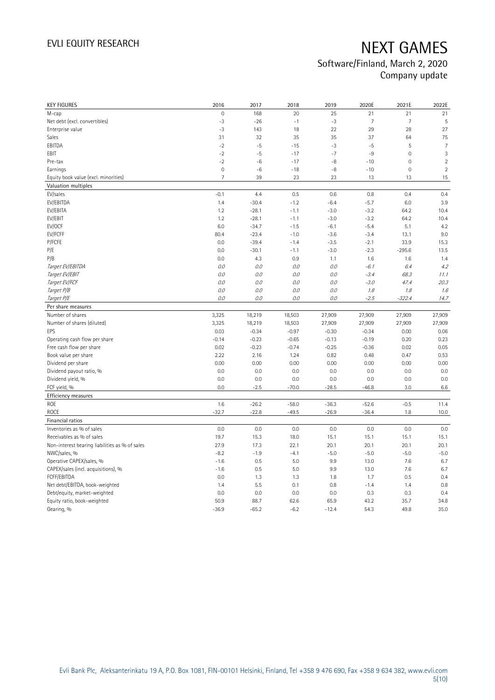| <b>KEY FIGURES</b>                             | 2016            | 2017               | 2018               | 2019               | 2020E              | 2021E               | 2022E          |
|------------------------------------------------|-----------------|--------------------|--------------------|--------------------|--------------------|---------------------|----------------|
| M-cap                                          | $\overline{0}$  | 168                | 20                 | 25                 | 21                 | 21                  | 21             |
| Net debt (excl. convertibles)                  | $-3$            | $-26$              | $-1$               | $-3$               | $\overline{7}$     | $\overline{7}$      | 5              |
| Enterprise value                               | $-3$            | 143                | 18                 | 22                 | 29                 | 28                  | 27             |
| Sales                                          | 31              | 32                 | 35                 | 35                 | 37                 | 64                  | 75             |
| EBITDA                                         | $-2$            | $-5$               | $-15$              | $-3$               | $-5$               | 5                   | $\overline{7}$ |
| EBIT                                           | $-2$            | $-5$               | $-17$              | $-7$               | -9                 | $\mathsf{O}\xspace$ | 3              |
| Pre-tax                                        | $-2$            | $-6$               | $-17$              | $-8$               | $-10$              | $\mathsf{O}\xspace$ | $\overline{2}$ |
| Earnings                                       | $\mathbf{0}$    | $-6$               | $-18$              | $-8$               | $-10$              | 0                   | $\sqrt{2}$     |
| Equity book value (excl. minorities)           | $\overline{7}$  | 39                 | 23                 | 23                 | 13                 | 13                  | 15             |
| Valuation multiples                            |                 |                    |                    |                    |                    |                     |                |
| EV/sales                                       | $-0.1$          | 4.4                | 0.5                | 0.6                | 0.8                | 0.4                 | 0.4            |
| EV/EBITDA                                      | 1.4             | $-30.4$            | $-1.2$             | $-6.4$             | $-5.7$             | 6.0                 | 3.9            |
| EV/EBITA                                       | 1.2             | $-28.1$            | $-1.1$             | $-3.0$             | $-3.2$             | 64.2                | 10.4           |
| EV/EBIT                                        | 1.2             | $-28.1$            | $-1.1$             | $-3.0$             | $-3.2$             | 64.2                | 10.4           |
| EV/OCF                                         | 6.0             | $-34.7$            | $-1.5$             | $-6.1$             | $-5.4$             | 5.1                 | 4.2            |
| EV/FCFF                                        | 80.4            | $-23.4$            | $-1.0$             | $-3.6$             | $-3.4$             | 13.1                | 9.0            |
| P/FCFE                                         | 0.0             | $-39.4$            | $-1.4$             | $-3.5$             | $-2.1$             | 33.9                | 15.3           |
| P/E                                            | 0.0             | $-30.1$            | $-1.1$             | $-3.0$             | $-2.3$             | $-295.6$            | 13.5           |
| P/B                                            | 0.0             | 4.3                | 0.9                | 1.1                | 1.6                | 1.6                 | 1.4            |
| Target EV/EBITDA                               | 0.0             | 0.0                | 0.0                | 0.0                | $-6.1$             | 6.4                 | 4.2            |
| Target EV/EBIT                                 | 0.0             | 0.0                | 0.0                | 0.0                | $-3.4$             | 68.3                | 11.1           |
| Target EV/FCF                                  | 0.0             | 0.0                | 0.0                | 0.0                | $-3.0$             | 47.4                | 20.3           |
| Target P/B                                     | O.O             | 0.0                | 0.0                | 0.0                | 1.8                | 1.8                 | 1.6            |
| Target P/E                                     | O.O             | 0.0                | 0.0                | 0.0                | $-2.5$             | $-322.4$            | 14.7           |
| Per share measures                             |                 |                    |                    |                    |                    |                     |                |
|                                                |                 |                    |                    |                    |                    |                     |                |
| Number of shares                               |                 |                    |                    |                    |                    |                     |                |
| Number of shares (diluted)                     | 3,325           | 18,219             | 18,503<br>18,503   | 27,909             | 27,909             | 27,909              | 27,909         |
| EPS                                            | 3,325           | 18,219             |                    | 27,909             | 27,909             | 27,909              | 27,909         |
| Operating cash flow per share                  | 0.03<br>$-0.14$ | $-0.34$<br>$-0.23$ | $-0.97$<br>$-0.65$ | $-0.30$<br>$-0.13$ | $-0.34$<br>$-0.19$ | 0.00<br>0.20        | 0.06<br>0.23   |
| Free cash flow per share                       | 0.02            | $-0.23$            | $-0.74$            | $-0.25$            | $-0.36$            | 0.02                | 0.05           |
| Book value per share                           | 2.22            | 2.16               | 1.24               | 0.82               | 0.48               | 0.47                | 0.53           |
| Dividend per share                             | 0.00            | 0.00               | 0.00               | 0.00               | 0.00               | 0.00                | 0.00           |
|                                                | 0.0             | 0.0                | 0.0                |                    | 0.0                | 0.0                 |                |
| Dividend payout ratio, %<br>Dividend yield, %  | 0.0             | 0.0                | 0.0                | 0.0<br>0.0         | 0.0                | 0.0                 | 0.0<br>0.0     |
| FCF yield, %                                   | 0.0             | $-2.5$             | $-70.0$            | $-28.5$            | $-46.8$            | 3.0                 | 6.6            |
| Efficiency measures                            |                 |                    |                    |                    |                    |                     |                |
| <b>ROE</b>                                     |                 |                    |                    |                    |                    |                     |                |
|                                                | 1.6             | $-26.2$            | $-58.0$<br>$-49.5$ | $-36.3$            | $-52.6$            | $-0.5$<br>1.8       | 11.4           |
| <b>ROCE</b>                                    | $-32.7$         | $-22.8$            |                    | $-26.9$            | $-36.4$            |                     | 10.0           |
| Financial ratios                               |                 |                    |                    |                    |                    |                     |                |
| Inventories as % of sales                      | 0.0             | 0.0                | 0.0                | 0.0                | 0.0                | 0.0                 | 0.0            |
| Receivables as % of sales                      | 19.7            | 15.3               | 18.0               | 15.1               | 15.1               | 15.1                | 15.1           |
| Non-interest bearing liabilities as % of sales | 27.9            | 17.3               | 22.1               | 20.1               | 20.1               | 20.1                | 20.1           |
| NWC/sales, %                                   | $-8.2$          | $-1.9$             | $-4.1$             | $-5.0$             | $-5.0$             | $-5.0$              | $-5.0$         |
| Operative CAPEX/sales, %                       | $-1.6$          | 0.5                | 5.0                | 9.9                | 13.0               | 7.6                 | 6.7            |
| CAPEX/sales (incl. acquisitions), %            | $-1.6$          | 0.5                | 5.0                | 9.9                | 13.0               | 7.6                 | 6.7            |
| FCFF/EBITDA                                    | 0.0             | 1.3                | 1.3                | 1.8                | 1.7                | 0.5                 | 0.4            |
| Net debt/EBITDA, book-weighted                 | 1.4             | 5.5                | 0.1                | 0.8                | $-1.4$             | 1.4                 | 0.8            |
| Debt/equity, market-weighted                   | 0.0             | 0.0                | 0.0                | 0.0                | 0.3                | 0.3                 | 0.4            |
| Equity ratio, book-weighted<br>Gearing, %      | 50.9<br>$-36.9$ | 88.7<br>$-65.2$    | 62.6<br>$-6.2$     | 65.9<br>$-12.4$    | 43.2<br>54.3       | 35.7<br>49.8        | 34.8<br>35.0   |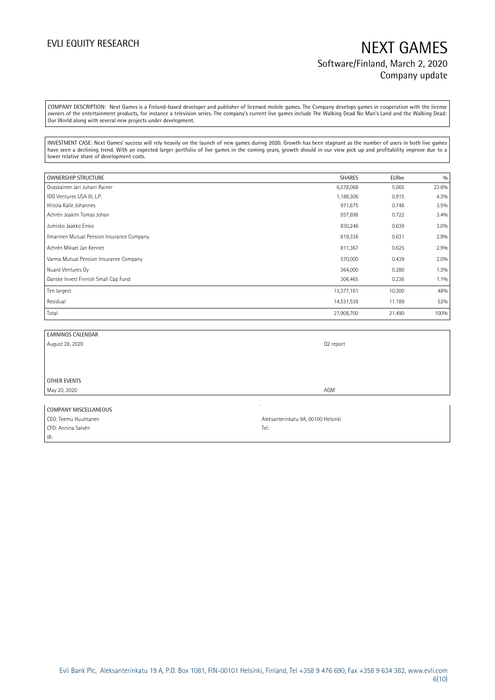COMPANY DESCRIPTION: Next Games is a Finland-based developer and publisher of licensed mobile games. The Company develops games in cooperation with the license owners of the entertainment products, for instance a television series. The company's current live games include The Walking Dead No Man's Land and the Walking Dead: Our World along with several new projects under development.

INVESTMENT CASE: Next Games' success will rely heavily on the launch of new games during 2020. Growth has been stagnant as the number of users in both live games have seen a declining trend. With an expected larger portfolio of live games in the coming years, growth should in our view pick up and profitability improve due to a lower relative share of development costs.

| OWNERSHIP STRUCTURE                        | <b>SHARES</b> | <b>EURm</b> | 0/0     |
|--------------------------------------------|---------------|-------------|---------|
| Ovaskainen Jari Juhani Rainer              | 6,578,068     | 5.065       | 23.6%   |
| IDG Ventures USA III, L.P.                 | 1,188,306     | 0.915       | 4.3%    |
| Hiitola Kalle Johannes                     | 971,675       | 0.748       | 3.5%    |
| Achrén Joakim Tomas Johan                  | 937,698       | 0.722       | 3.4%    |
| Jumisko Jaakko Ensio                       | 830,246       | 0.639       | 3.0%    |
| Ilmarinen Mutual Pension Insurance Company | 819,336       | 0.631       | 2.9%    |
| Achrén Mikael Jan Kennet                   | 811,367       | 0.625       | 2.9%    |
| Varma Mutual Pension Insurance Company     | 570,000       | 0.439       | 2.0%    |
| Nuard Ventures Oy                          | 364,000       | 0.280       | 1.3%    |
| Danske Invest Finnish Small Cap Fund       | 306,465       | 0.236       | $1.1\%$ |
| Ten largest                                | 13,377,161    | 10.300      | 48%     |
| Residual                                   | 14,531,539    | 11.189      | 52%     |
| Total                                      | 27,908,700    | 21.490      | 100%    |

| <b>EARNINGS CALENDAR</b> |           |
|--------------------------|-----------|
| August 28, 2020          | Q2 report |
|                          |           |
|                          |           |
|                          |           |
| OTHER EVENTS             |           |
| May 20, 2020             | AGM       |
|                          |           |
| COMPANY MISCELLANEOUS    |           |

| CEO: Teemu Huuhtanen | Aleksanterinkatu 9A, 00100 Helsinki |
|----------------------|-------------------------------------|
| CFO: Annina Salvén   | Tel:                                |
| IR:                  |                                     |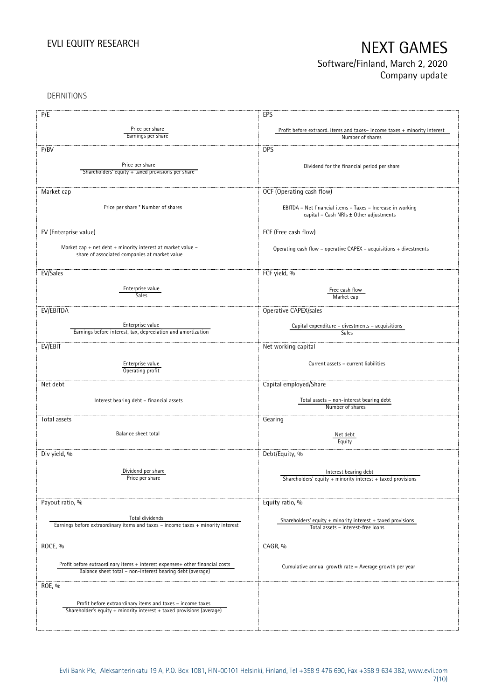DEFINITIONS

| P/E                                                                                                 | EPS                                                                                          |
|-----------------------------------------------------------------------------------------------------|----------------------------------------------------------------------------------------------|
|                                                                                                     |                                                                                              |
| Price per share<br>Earnings per share                                                               | Profit before extraord. items and taxes-income taxes + minority interest<br>Number of shares |
|                                                                                                     |                                                                                              |
| P/BV                                                                                                | <b>DPS</b>                                                                                   |
|                                                                                                     |                                                                                              |
| Price per share                                                                                     | Dividend for the financial period per share                                                  |
| Shareholders' equity + taxed provisions per share                                                   |                                                                                              |
|                                                                                                     |                                                                                              |
| Market cap                                                                                          | OCF (Operating cash flow)                                                                    |
|                                                                                                     |                                                                                              |
| Price per share * Number of shares                                                                  | EBITDA - Net financial items - Taxes - Increase in working                                   |
|                                                                                                     | capital - Cash NRIs ± Other adjustments                                                      |
|                                                                                                     |                                                                                              |
| EV (Enterprise value)                                                                               | FCF (Free cash flow)                                                                         |
|                                                                                                     |                                                                                              |
| Market cap + net debt + minority interest at market value -                                         | Operating cash flow - operative CAPEX - acquisitions + divestments                           |
| share of associated companies at market value                                                       |                                                                                              |
|                                                                                                     |                                                                                              |
| EV/Sales                                                                                            | FCF yield, %                                                                                 |
|                                                                                                     |                                                                                              |
| Enterprise value<br>Sales                                                                           | Free cash flow                                                                               |
|                                                                                                     | Market cap                                                                                   |
| EV/EBITDA                                                                                           | Operative CAPEX/sales                                                                        |
|                                                                                                     |                                                                                              |
| Enterprise value                                                                                    | Capital expenditure - divestments - acquisitions                                             |
| Earnings before interest, tax, depreciation and amortization                                        | Sales                                                                                        |
| EV/EBIT                                                                                             | Net working capital                                                                          |
|                                                                                                     |                                                                                              |
|                                                                                                     | Current assets - current liabilities                                                         |
| Enterprise value<br>Operating profit                                                                |                                                                                              |
|                                                                                                     |                                                                                              |
| Net debt                                                                                            | Capital employed/Share                                                                       |
|                                                                                                     |                                                                                              |
| Interest bearing debt - financial assets                                                            | Total assets - non-interest bearing debt                                                     |
|                                                                                                     | Number of shares                                                                             |
| Total assets                                                                                        | Gearing                                                                                      |
|                                                                                                     |                                                                                              |
| Balance sheet total                                                                                 | Net debt                                                                                     |
|                                                                                                     | Equity                                                                                       |
| Div yield, %                                                                                        | Debt/Equity, %                                                                               |
|                                                                                                     |                                                                                              |
| Dividend per share                                                                                  | Interest bearing debt                                                                        |
| Price per share                                                                                     | Shareholders' equity + minority interest + taxed provisions                                  |
|                                                                                                     |                                                                                              |
|                                                                                                     |                                                                                              |
| Payout ratio, %                                                                                     | Equity ratio, %                                                                              |
|                                                                                                     |                                                                                              |
| Total dividends<br>Earnings before extraordinary items and taxes - income taxes + minority interest | Shareholders' equity $+$ minority interest $+$ taxed provisions                              |
|                                                                                                     | Total assets - interest-free loans                                                           |
|                                                                                                     |                                                                                              |
| ROCE, %                                                                                             | CAGR, %                                                                                      |
|                                                                                                     |                                                                                              |
| Profit before extraordinary items + interest expenses+ other financial costs                        | Cumulative annual growth rate = Average growth per year                                      |
| Balance sheet total - non-interest bearing debt (average)                                           |                                                                                              |
|                                                                                                     |                                                                                              |
| ROE, %                                                                                              |                                                                                              |
|                                                                                                     |                                                                                              |
| Profit before extraordinary items and taxes - income taxes                                          |                                                                                              |
| Shareholder's equity + minority interest + taxed provisions (average)                               |                                                                                              |
|                                                                                                     |                                                                                              |
|                                                                                                     |                                                                                              |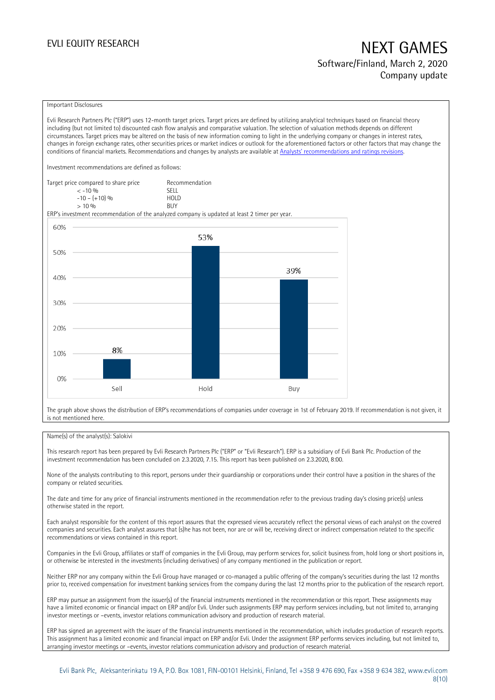### Important Disclosures

Evli Research Partners Plc ("ERP") uses 12-month target prices. Target prices are defined by utilizing analytical techniques based on financial theory including (but not limited to) discounted cash flow analysis and comparative valuation. The selection of valuation methods depends on different circumstances. Target prices may be altered on the basis of new information coming to light in the underlying company or changes in interest rates, changes in foreign exchange rates, other securities prices or market indices or outlook for the aforementioned factors or other factors that may change the conditions of financial markets. Recommendations and changes by analysts are available at [Analysts' recommendations and ratings revisions](https://research.evli.com/JasperAllModels.action?authParam=key;461&authParam=x;G3rNagWrtf7K&authType=3).

Investment recommendations are defined as follows:

| Target price compared to share price | Recommendation |
|--------------------------------------|----------------|
| $<-10.96$                            | SELL.          |
| $-10 - (+10)$ %                      | HOI D          |
| $> 10\%$                             | <b>BUY</b>     |

ERP's investment recommendation of the analyzed company is updated at least 2 timer per year.



The graph above shows the distribution of ERP's recommendations of companies under coverage in 1st of February 2019. If recommendation is not given, it is not mentioned here.

### Name(s) of the analyst(s): Salokivi

This research report has been prepared by Evli Research Partners Plc ("ERP" or "Evli Research"). ERP is a subsidiary of Evli Bank Plc. Production of the investment recommendation has been concluded on 2.3.2020, 7.15. This report has been published on 2.3.2020, 8:00.

None of the analysts contributing to this report, persons under their guardianship or corporations under their control have a position in the shares of the company or related securities.

The date and time for any price of financial instruments mentioned in the recommendation refer to the previous trading day's closing price(s) unless otherwise stated in the report.

Each analyst responsible for the content of this report assures that the expressed views accurately reflect the personal views of each analyst on the covered companies and securities. Each analyst assures that (s)he has not been, nor are or will be, receiving direct or indirect compensation related to the specific recommendations or views contained in this report.

Companies in the Evli Group, affiliates or staff of companies in the Evli Group, may perform services for, solicit business from, hold long or short positions in, or otherwise be interested in the investments (including derivatives) of any company mentioned in the publication or report.

Neither ERP nor any company within the Evli Group have managed or co-managed a public offering of the company's securities during the last 12 months prior to, received compensation for investment banking services from the company during the last 12 months prior to the publication of the research report.

ERP may pursue an assignment from the issuer(s) of the financial instruments mentioned in the recommendation or this report. These assignments may have a limited economic or financial impact on ERP and/or Evli. Under such assignments ERP may perform services including, but not limited to, arranging investor meetings or –events, investor relations communication advisory and production of research material.

ERP has signed an agreement with the issuer of the financial instruments mentioned in the recommendation, which includes production of research reports. This assignment has a limited economic and financial impact on ERP and/or Evli. Under the assignment ERP performs services including, but not limited to, arranging investor meetings or –events, investor relations communication advisory and production of research material.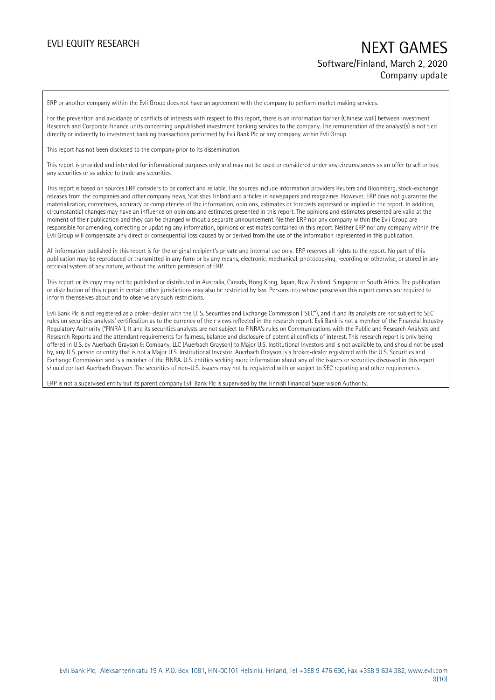ERP or another company within the Evli Group does not have an agreement with the company to perform market making services.

For the prevention and avoidance of conflicts of interests with respect to this report, there is an information barrier (Chinese wall) between Investment Research and Corporate Finance units concerning unpublished investment banking services to the company. The remuneration of the analyst(s) is not tied directly or indirectly to investment banking transactions performed by Evli Bank Plc or any company within Evli Group.

This report has not been disclosed to the company prior to its dissemination.

This report is provided and intended for informational purposes only and may not be used or considered under any circumstances as an offer to sell or buy any securities or as advice to trade any securities.

This report is based on sources ERP considers to be correct and reliable. The sources include information providers Reuters and Bloomberg, stock-exchange releases from the companies and other company news, Statistics Finland and articles in newspapers and magazines. However, ERP does not guarantee the materialization, correctness, accuracy or completeness of the information, opinions, estimates or forecasts expressed or implied in the report. In addition, circumstantial changes may have an influence on opinions and estimates presented in this report. The opinions and estimates presented are valid at the moment of their publication and they can be changed without a separate announcement. Neither ERP nor any company within the Evli Group are responsible for amending, correcting or updating any information, opinions or estimates contained in this report. Neither ERP nor any company within the Evli Group will compensate any direct or consequential loss caused by or derived from the use of the information represented in this publication.

All information published in this report is for the original recipient's private and internal use only. ERP reserves all rights to the report. No part of this publication may be reproduced or transmitted in any form or by any means, electronic, mechanical, photocopying, recording or otherwise, or stored in any retrieval system of any nature, without the written permission of ERP.

This report or its copy may not be published or distributed in Australia, Canada, Hong Kong, Japan, New Zealand, Singapore or South Africa. The publication or distribution of this report in certain other jurisdictions may also be restricted by law. Persons into whose possession this report comes are required to inform themselves about and to observe any such restrictions.

Evli Bank Plc is not registered as a broker-dealer with the U. S. Securities and Exchange Commission ("SEC"), and it and its analysts are not subject to SEC rules on securities analysts' certification as to the currency of their views reflected in the research report. Evli Bank is not a member of the Financial Industry Regulatory Authority ("FINRA"). It and its securities analysts are not subject to FINRA's rules on Communications with the Public and Research Analysts and Research Reports and the attendant requirements for fairness, balance and disclosure of potential conflicts of interest. This research report is only being offered in U.S. by Auerbach Grayson & Company, LLC (Auerbach Grayson) to Major U.S. Institutional Investors and is not available to, and should not be used by, any U.S. person or entity that is not a Major U.S. Institutional Investor. Auerbach Grayson is a broker-dealer registered with the U.S. Securities and Exchange Commission and is a member of the FINRA. U.S. entities seeking more information about any of the issuers or securities discussed in this report should contact Auerbach Grayson. The securities of non-U.S. issuers may not be registered with or subject to SEC reporting and other requirements.

ERP is not a supervised entity but its parent company Evli Bank Plc is supervised by the Finnish Financial Supervision Authority.